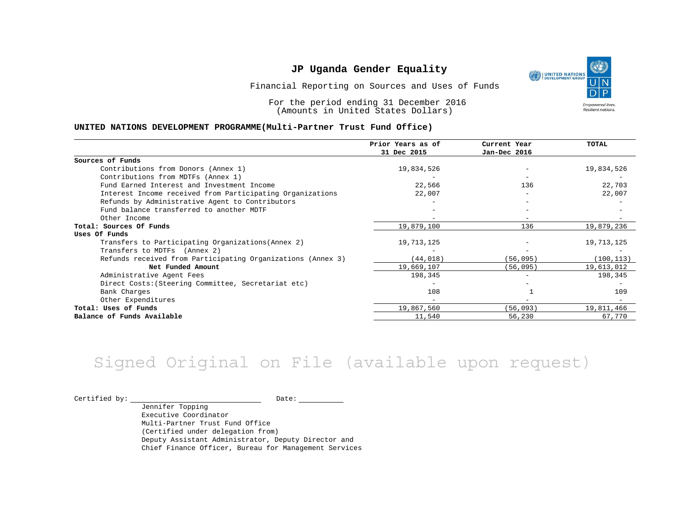(S UNITED NATIONS **Empowered lives** Resilient nations.

Financial Reporting on Sources and Uses of Funds

For the period ending 31 December 2016 (Amounts in United States Dollars)

#### **UNITED NATIONS DEVELOPMENT PROGRAMME(Multi-Partner Trust Fund Office)**

|                                                             | Prior Years as of | Current Year | TOTAL      |
|-------------------------------------------------------------|-------------------|--------------|------------|
|                                                             | 31 Dec 2015       | Jan-Dec 2016 |            |
| Sources of Funds                                            |                   |              |            |
| Contributions from Donors (Annex 1)                         | 19,834,526        |              | 19,834,526 |
| Contributions from MDTFs (Annex 1)                          |                   |              |            |
| Fund Earned Interest and Investment Income                  | 22,566            | 136          | 22,703     |
| Interest Income received from Participating Organizations   | 22,007            | $-$          | 22,007     |
| Refunds by Administrative Agent to Contributors             |                   |              |            |
| Fund balance transferred to another MDTF                    |                   |              |            |
| Other Income                                                |                   |              |            |
| Total: Sources Of Funds                                     | 19,879,100        | 136          | 19,879,236 |
| Uses Of Funds                                               |                   |              |            |
| Transfers to Participating Organizations (Annex 2)          | 19,713,125        |              | 19,713,125 |
| Transfers to MDTFs (Annex 2)                                |                   |              |            |
| Refunds received from Participating Organizations (Annex 3) | (44, 018)         | (56, 095)    | (100, 113) |
| Net Funded Amount                                           | 19,669,107        | (56, 095)    | 19,613,012 |
| Administrative Agent Fees                                   | 198,345           |              | 198,345    |
| Direct Costs: (Steering Committee, Secretariat etc)         |                   |              |            |
| Bank Charges                                                | 108               |              | 109        |
| Other Expenditures                                          |                   |              |            |
| Total: Uses of Funds                                        | 19,867,560        | (56, 093)    | 19,811,466 |
| Balance of Funds Available                                  | 11,540            | 56,230       | 67,770     |

# Signed Original on File (available upon request)

Certified by: Date:

Jennifer Topping Executive Coordinator Multi-Partner Trust Fund Office (Certified under delegation from) Deputy Assistant Administrator, Deputy Director and Chief Finance Officer, Bureau for Management Services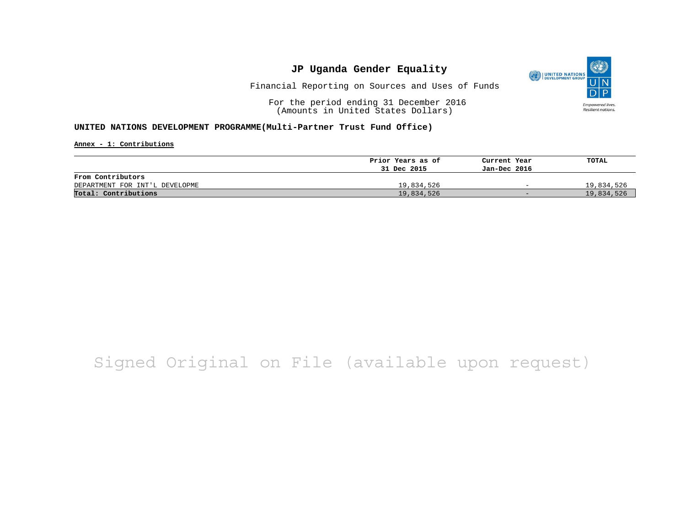

Financial Reporting on Sources and Uses of Funds

For the period ending 31 December 2016 (Amounts in United States Dollars)

### **UNITED NATIONS DEVELOPMENT PROGRAMME(Multi-Partner Trust Fund Office)**

**Annex - 1: Contributions**

|                                | Prior Years as of | Current Year             | TOTAL      |
|--------------------------------|-------------------|--------------------------|------------|
|                                | 31 Dec 2015       | Jan-Dec 2016             |            |
| From Contributors              |                   |                          |            |
| DEPARTMENT FOR INT'L DEVELOPME | 19,834,526        | $\overline{\phantom{0}}$ | 19,834,526 |
| Total: Contributions           | 19,834,526        | $-$                      | 19,834,526 |

# Signed Original on File (available upon request)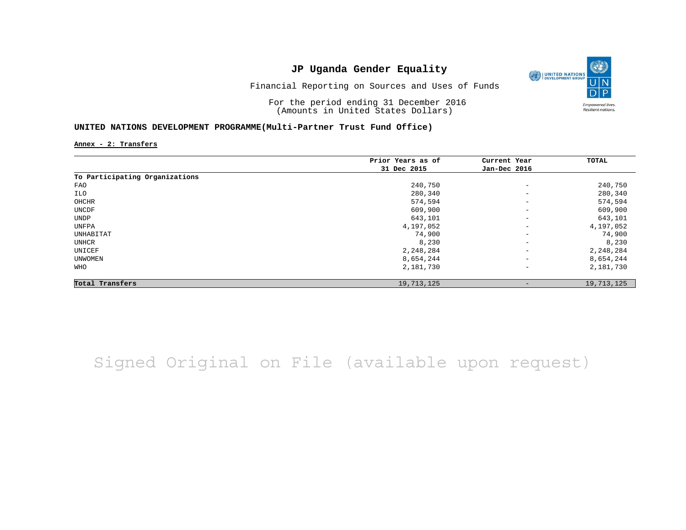

Financial Reporting on Sources and Uses of Funds

For the period ending 31 December 2016 (Amounts in United States Dollars)

### **UNITED NATIONS DEVELOPMENT PROGRAMME(Multi-Partner Trust Fund Office)**

**Annex - 2: Transfers**

|                                | Prior Years as of | Current Year             | TOTAL      |
|--------------------------------|-------------------|--------------------------|------------|
|                                | 31 Dec 2015       | Jan-Dec 2016             |            |
| To Participating Organizations |                   |                          |            |
| FAO                            | 240,750           | $\qquad \qquad -$        | 240,750    |
| ILO                            | 280,340           | $\overline{\phantom{a}}$ | 280,340    |
| OHCHR                          | 574,594           | $\overline{\phantom{a}}$ | 574,594    |
| UNCDF                          | 609,900           | $\qquad \qquad -$        | 609,900    |
| UNDP                           | 643,101           | $\overline{\phantom{a}}$ | 643,101    |
| UNFPA                          | 4,197,052         | $\overline{\phantom{a}}$ | 4,197,052  |
| UNHABITAT                      | 74,900            | $\qquad \qquad -$        | 74,900     |
| UNHCR                          | 8,230             | $\qquad \qquad -$        | 8,230      |
| UNICEF                         | 2,248,284         | $\overline{\phantom{a}}$ | 2,248,284  |
| UNWOMEN                        | 8,654,244         | $\overline{\phantom{a}}$ | 8,654,244  |
| WHO                            | 2,181,730         | $\qquad \qquad -$        | 2,181,730  |
| Total Transfers                | 19,713,125        |                          | 19,713,125 |

Signed Original on File (available upon request)